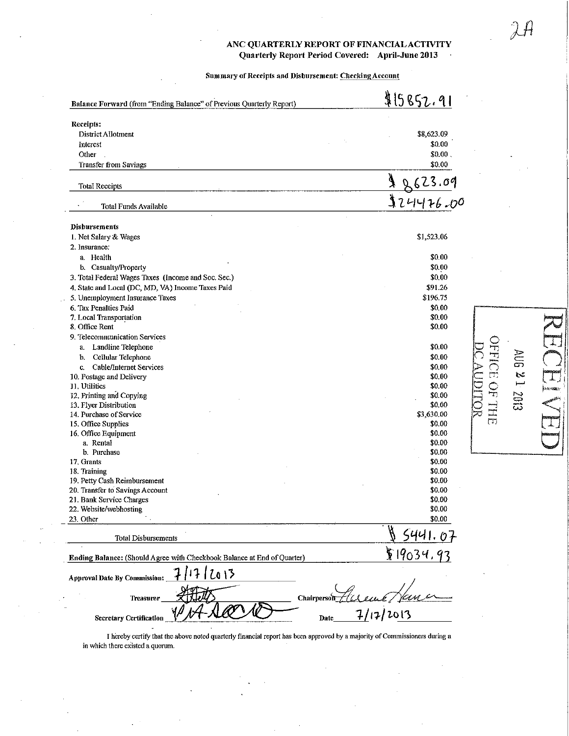## ANC QUARTERLY REPORT OF FINANCIAL ACTIVITY Quarterly Report Period Covered: April-June 2013  $\ddot{\phantom{a}}$

Summary of Receipts and Disbursement: Checking Account

| Balance Forward (from "Ending Balance" of Previous Quarterly Report)    | \$15852.91       |                  |             |
|-------------------------------------------------------------------------|------------------|------------------|-------------|
| Receipts:                                                               |                  |                  |             |
| District Allotment                                                      | \$8,623.09       |                  |             |
| Interest                                                                | \$0.00           |                  |             |
| Other                                                                   | \$0.00.          |                  |             |
| <b>Transfer from Savings</b>                                            | \$0.00           |                  |             |
| <b>Total Receipts</b>                                                   | 623.09           |                  |             |
| Total Funds Available                                                   | 124476.00        |                  |             |
| <b>Disbursements</b>                                                    |                  |                  |             |
| 1. Net Salary & Wages                                                   | \$1,523.06       |                  |             |
| 2. Insurance:                                                           |                  |                  |             |
| a. Health                                                               | \$0.00           |                  |             |
| b. Casualty/Property                                                    | \$0.00           |                  |             |
| 3. Total Federal Wages Taxes (Income and Soc. Sec.)                     | \$0.00           |                  |             |
| 4. State and Local (DC, MD, VA) Income Taxes Paid                       | \$91.26          |                  |             |
| 5. Unemployment Insurance Taxes                                         | \$196.75         |                  |             |
| 6. Tax Penalties Paid                                                   | \$0.00           |                  |             |
| 7. Local Transportation                                                 | \$0.00           |                  |             |
| 8. Office Rent                                                          | \$0.00           |                  |             |
| 9. Telecommunication Services                                           |                  |                  |             |
| Landline Telephone<br>a.                                                | \$0.00           |                  |             |
| Cellular Telephone<br>b.                                                | \$0.00           |                  |             |
| Cable/Internet Services<br>$\mathbf{c}$ .                               | \$0.00           |                  |             |
| 10. Postage and Delivery                                                | \$0.00           | <b>NEUROPIEL</b> | AUG 21 2013 |
| 11. Utilities                                                           | \$0.00           |                  |             |
| 12. Printing and Copying                                                | \$0.00           |                  |             |
| 13. Flyer Distribution                                                  | \$0.00           |                  |             |
| 14. Purchase of Service                                                 | \$3,630.00       |                  |             |
| 15. Office Supplies                                                     | \$0.00           |                  |             |
| 16. Office Equipment                                                    | \$0.00           |                  |             |
| a. Rental                                                               | \$0.00           |                  |             |
| b. Purchase                                                             | \$0.00           |                  |             |
| 17. Grants                                                              | \$0.00           |                  |             |
| 18. Training<br>19. Petty Cash Reimbursement                            | \$0.00<br>\$0.00 |                  |             |
| 20. Transfer to Savings Account                                         | \$0.00           |                  |             |
| 21. Bank Service Charges                                                | \$0.00           |                  |             |
| 22. Website/webhosting                                                  | \$0.00           |                  |             |
| 23. Other                                                               | \$0.00           |                  |             |
|                                                                         |                  |                  |             |
| <b>Total Disbursements</b>                                              |                  |                  |             |
| Ending Balance: (Should Agree with Checkbook Balance at End of Quarter) | \$19034.         |                  |             |
| [2013<br><b>Approval Date By Commission:</b>                            |                  |                  |             |
| Chairperson<br>Treasurer                                                |                  |                  |             |
| <b>Secretary Certification</b><br>Date                                  | 17/2013          |                  |             |

I hereby certify that the above noted quarterly financial report has been approved by a majority of Commissioners during a in which there existed a quorum.

EQUE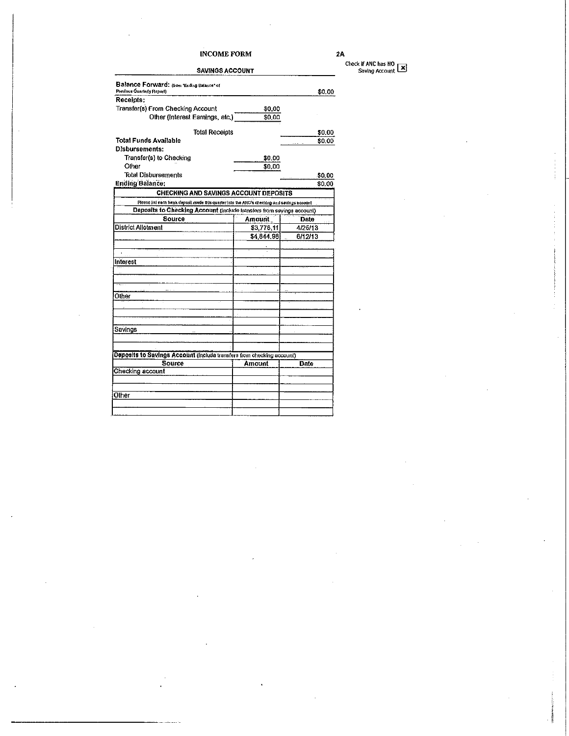## **INCOME FORM SAVINGS ACCOUNT**

 $2A$ 

Check if ANC has NO<br>Saving Account

| \$0.00<br>\$0.00<br>\$0.00<br>\$0.00<br><b>CHECKING AND SAVINGS ACCOUNT DEPOSITS</b><br>Please list each bank deposit made this quarter into the ANC's checking and savings account | \$0.00<br>\$0.00<br>\$0,00<br>\$0.00 |
|-------------------------------------------------------------------------------------------------------------------------------------------------------------------------------------|--------------------------------------|
|                                                                                                                                                                                     |                                      |
|                                                                                                                                                                                     |                                      |
|                                                                                                                                                                                     |                                      |
|                                                                                                                                                                                     |                                      |
|                                                                                                                                                                                     |                                      |
|                                                                                                                                                                                     |                                      |
|                                                                                                                                                                                     |                                      |
|                                                                                                                                                                                     |                                      |
|                                                                                                                                                                                     |                                      |
|                                                                                                                                                                                     |                                      |
|                                                                                                                                                                                     |                                      |
|                                                                                                                                                                                     |                                      |
| Deposits to Checking Account (include transfers from sevings account)                                                                                                               |                                      |
| Amount<br>Date                                                                                                                                                                      |                                      |
| 4/25/13<br>\$3,778,11                                                                                                                                                               |                                      |
| \$4,844.98<br>6/12/13                                                                                                                                                               |                                      |
|                                                                                                                                                                                     |                                      |
|                                                                                                                                                                                     |                                      |
|                                                                                                                                                                                     |                                      |
|                                                                                                                                                                                     |                                      |
|                                                                                                                                                                                     |                                      |
|                                                                                                                                                                                     |                                      |
|                                                                                                                                                                                     |                                      |
|                                                                                                                                                                                     |                                      |
|                                                                                                                                                                                     |                                      |
|                                                                                                                                                                                     |                                      |
|                                                                                                                                                                                     |                                      |
|                                                                                                                                                                                     |                                      |
| Deposits to Savings Account (include transfers from checking account)                                                                                                               |                                      |
| Amount                                                                                                                                                                              |                                      |
|                                                                                                                                                                                     |                                      |
|                                                                                                                                                                                     |                                      |
|                                                                                                                                                                                     |                                      |
|                                                                                                                                                                                     |                                      |
|                                                                                                                                                                                     |                                      |
|                                                                                                                                                                                     | Date                                 |